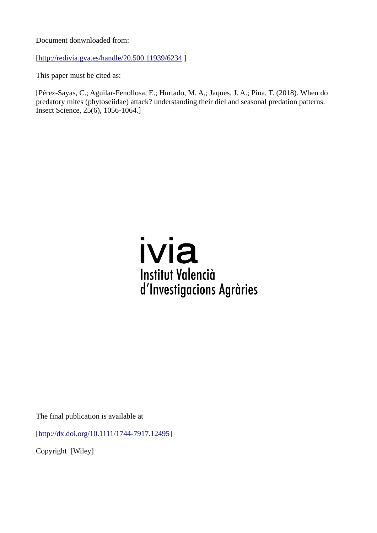Document donwnloaded from:

[<http://redivia.gva.es/handle/20.500.11939/6234>]

This paper must be cited as:

[Pérez-Sayas, C.; Aguilar-Fenollosa, E.; Hurtado, M. A.; Jaques, J. A.; Pina, T. (2018). When do predatory mites (phytoseiidae) attack? understanding their diel and seasonal predation patterns. Insect Science, 25(6), 1056-1064.]

# ivia **Institut Valencià** d'Investigacions Agràries

The final publication is available at

[<http://dx.doi.org/10.1111/1744-7917.12495>]

Copyright [Wiley]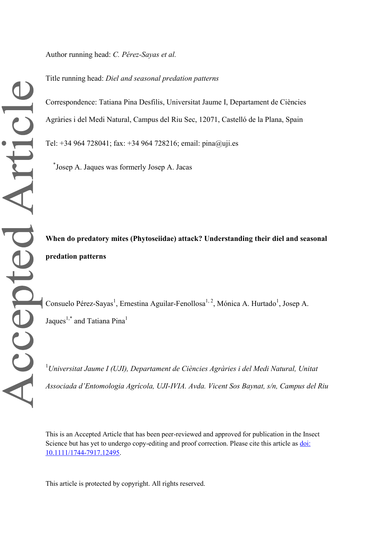Author running head: *C. Pérez-Sayas et al.*

Title running head: *Diel and seasonal predation patterns*

Correspondence: Tatiana Pina Desfilis, Universitat Jaume I, Departament de Ciències Agràries i del Medi Natural, Campus del Riu Sec, 12071, Castelló de la Plana, Spain Tel: +34 964 728041; fax: +34 964 728216; email: pina@uji.es

\* Josep A. Jaques was formerly Josep A. Jacas

**When do predatory mites (Phytoseiidae) attack? Understanding their diel and seasonal predation patterns**

Consuelo Pérez-Sayas<sup>1</sup>, Ernestina Aguilar-Fenollosa<sup>1, 2</sup>, Mónica A. Hurtado<sup>1</sup>, Josep A. Jaques<sup>1,\*</sup> and Tatiana Pina<sup>1</sup>

<sup>1</sup>*Universitat Jaume I (UJI), Departament de Ciències Agràries i del Medi Natural, Unitat Associada d'Entomologia Agrícola, UJI-IVIA. Avda. Vicent Sos Baynat, s/n, Campus del Riu* 

This is an Accepted Article that has been peer-reviewed and approved for publication in the Insect Science but has yet to undergo copy-editing and proof correction. Please cite this article as doi: [10.1111/1744-7917.12495.](https://doi.org/10.1111/1744-7917.12495)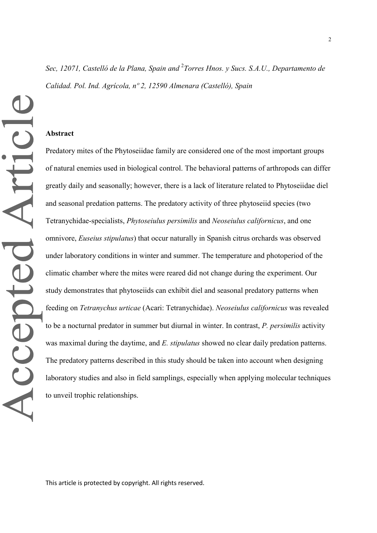#### **Abstract**

Accepted Article

Predatory mites of the Phytoseiidae family are considered one of the most important groups of natural enemies used in biological control. The behavioral patterns of arthropods can differ greatly daily and seasonally; however, there is a lack of literature related to Phytoseiidae diel and seasonal predation patterns. The predatory activity of three phytoseiid species (two Tetranychidae-specialists, *Phytoseiulus persimilis* and *Neoseiulus californicus*, and one omnivore, *Euseius stipulatus*) that occur naturally in Spanish citrus orchards was observed under laboratory conditions in winter and summer. The temperature and photoperiod of the climatic chamber where the mites were reared did not change during the experiment. Our study demonstrates that phytoseiids can exhibit diel and seasonal predatory patterns when feeding on *Tetranychus urticae* (Acari: Tetranychidae). *Neoseiulus californicus* was revealed to be a nocturnal predator in summer but diurnal in winter. In contrast, *P. persimilis* activity was maximal during the daytime, and *E. stipulatus* showed no clear daily predation patterns. The predatory patterns described in this study should be taken into account when designing laboratory studies and also in field samplings, especially when applying molecular techniques to unveil trophic relationships.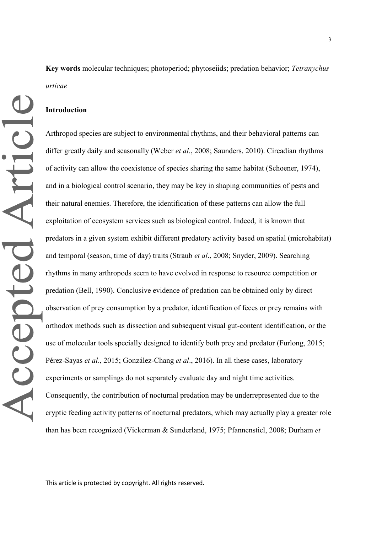**Key words** molecular techniques; photoperiod; phytoseiids; predation behavior; *Tetranychus urticae*

## **Introduction**

Arthropod species are subject to environmental rhythms, and their behavioral patterns can differ greatly daily and seasonally (Weber *et al*., 2008; Saunders, 2010). Circadian rhythms of activity can allow the coexistence of species sharing the same habitat (Schoener, 1974), and in a biological control scenario, they may be key in shaping communities of pests and their natural enemies. Therefore, the identification of these patterns can allow the full exploitation of ecosystem services such as biological control. Indeed, it is known that predators in a given system exhibit different predatory activity based on spatial (microhabitat) and temporal (season, time of day) traits (Straub *et al*., 2008; Snyder, 2009). Searching rhythms in many arthropods seem to have evolved in response to resource competition or predation (Bell, 1990). Conclusive evidence of predation can be obtained only by direct observation of prey consumption by a predator, identification of feces or prey remains with orthodox methods such as dissection and subsequent visual gut-content identification, or the use of molecular tools specially designed to identify both prey and predator (Furlong, 2015; Pérez-Sayas *et al*., 2015; González-Chang *et al*., 2016). In all these cases, laboratory experiments or samplings do not separately evaluate day and night time activities. Consequently, the contribution of nocturnal predation may be underrepresented due to the cryptic feeding activity patterns of nocturnal predators, which may actually play a greater role than has been recognized (Vickerman & Sunderland, 1975; Pfannenstiel, 2008; Durham *et*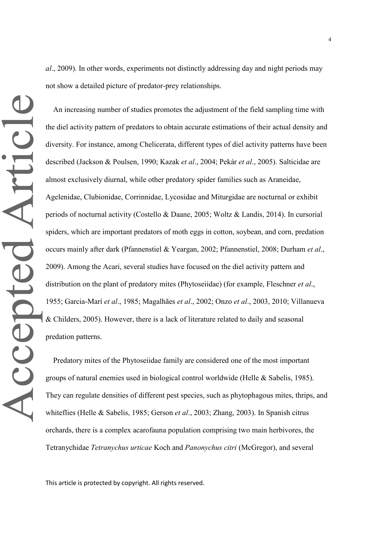*al*., 2009). In other words, experiments not distinctly addressing day and night periods may not show a detailed picture of predator-prey relationships.

Accepted Article

An increasing number of studies promotes the adjustment of the field sampling time with the diel activity pattern of predators to obtain accurate estimations of their actual density and diversity. For instance, among Chelicerata, different types of diel activity patterns have been described (Jackson & Poulsen, 1990; Kazak *et al*., 2004; Pekár *et al*., 2005). Salticidae are almost exclusively diurnal, while other predatory spider families such as Araneidae, Agelenidae, Clubionidae, Corrinnidae, Lycosidae and Miturgidae are nocturnal or exhibit periods of nocturnal activity (Costello & Daane, 2005; Woltz & Landis, 2014). In cursorial spiders, which are important predators of moth eggs in cotton, soybean, and corn, predation occurs mainly after dark (Pfannenstiel & Yeargan, 2002; Pfannenstiel, 2008; Durham *et al*., 2009). Among the Acari, several studies have focused on the diel activity pattern and distribution on the plant of predatory mites (Phytoseiidae) (for example, Fleschner *et al*., 1955; Garcia-Marí *et al*., 1985; Magalhães *et al*., 2002; Onzo *et al*., 2003, 2010; Villanueva & Childers, 2005). However, there is a lack of literature related to daily and seasonal predation patterns.

Predatory mites of the Phytoseiidae family are considered one of the most important groups of natural enemies used in biological control worldwide (Helle & Sabelis, 1985). They can regulate densities of different pest species, such as phytophagous mites, thrips, and whiteflies (Helle & Sabelis, 1985; Gerson *et al*., 2003; Zhang, 2003). In Spanish citrus orchards, there is a complex acarofauna population comprising two main herbivores, the Tetranychidae *Tetranychus urticae* Koch and *Panonychus citri* (McGregor), and several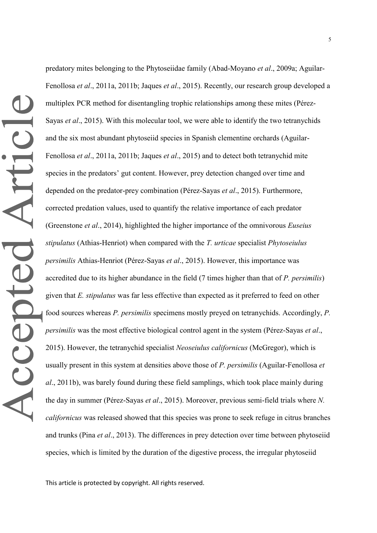predatory mites belonging to the Phytoseiidae family (Abad-Moyano *et al*., 2009a; Aguilar-Fenollosa *et al*., 2011a, 2011b; Jaques *et al*., 2015). Recently, our research group developed a multiplex PCR method for disentangling trophic relationships among these mites (Pérez-Sayas *et al*., 2015). With this molecular tool, we were able to identify the two tetranychids and the six most abundant phytoseiid species in Spanish clementine orchards (Aguilar-Fenollosa *et al*., 2011a, 2011b; Jaques *et al*., 2015) and to detect both tetranychid mite species in the predators' gut content. However, prey detection changed over time and depended on the predator-prey combination (Pérez-Sayas *et al*., 2015). Furthermore, corrected predation values, used to quantify the relative importance of each predator (Greenstone *et al*., 2014), highlighted the higher importance of the omnivorous *Euseius stipulatus* (Athias-Henriot) when compared with the *T. urticae* specialist *Phytoseiulus persimilis* Athias-Henriot (Pérez-Sayas *et al*., 2015). However, this importance was accredited due to its higher abundance in the field (7 times higher than that of *P. persimilis*) given that *E. stipulatus* was far less effective than expected as it preferred to feed on other food sources whereas *P. persimilis* specimens mostly preyed on tetranychids. Accordingly, *P. persimilis* was the most effective biological control agent in the system (Pérez-Sayas *et al*., 2015). However, the tetranychid specialist *Neoseiulus californicus* (McGregor), which is usually present in this system at densities above those of *P. persimilis* (Aguilar-Fenollosa *et al*., 2011b), was barely found during these field samplings, which took place mainly during the day in summer (Pérez-Sayas *et al*., 2015). Moreover, previous semi-field trials where *N. californicus* was released showed that this species was prone to seek refuge in citrus branches and trunks (Pina *et al*., 2013). The differences in prey detection over time between phytoseiid species, which is limited by the duration of the digestive process, the irregular phytoseiid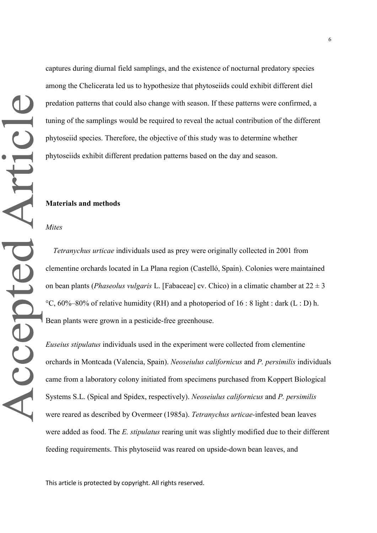captures during diurnal field samplings, and the existence of nocturnal predatory species among the Chelicerata led us to hypothesize that phytoseiids could exhibit different diel predation patterns that could also change with season. If these patterns were confirmed, a tuning of the samplings would be required to reveal the actual contribution of the different phytoseiid species. Therefore, the objective of this study was to determine whether phytoseiids exhibit different predation patterns based on the day and season.

#### **Materials and methods**

*Mites*

*Tetranychus urticae* individuals used as prey were originally collected in 2001 from clementine orchards located in La Plana region (Castelló, Spain). Colonies were maintained on bean plants (*Phaseolus vulgaris* L. [Fabaceae] cv. Chico) in a climatic chamber at 22 ± 3 °C,  $60\%$ –80% of relative humidity (RH) and a photoperiod of 16 : 8 light : dark (L : D) h. Bean plants were grown in a pesticide-free greenhouse.

*Euseius stipulatus* individuals used in the experiment were collected from clementine orchards in Montcada (Valencia, Spain). *Neoseiulus californicus* and *P. persimilis* individuals came from a laboratory colony initiated from specimens purchased from Koppert Biological Systems S.L. (Spical and Spidex, respectively). *Neoseiulus californicus* and *P. persimilis* were reared as described by Overmeer (1985a). *Tetranychus urticae-*infested bean leaves were added as food. The *E. stipulatus* rearing unit was slightly modified due to their different feeding requirements. This phytoseiid was reared on upside-down bean leaves, and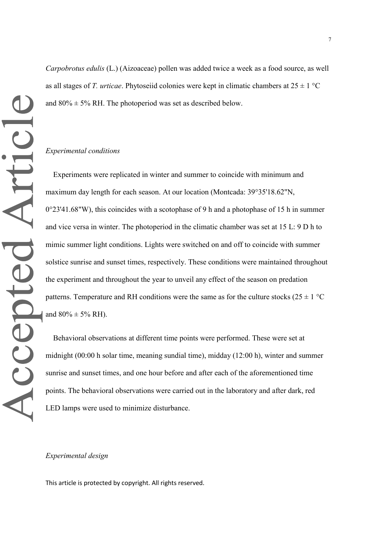*Carpobrotus edulis* (L.) (Aizoaceae) pollen was added twice a week as a food source, as well as all stages of *T. urticae*. Phytoseiid colonies were kept in climatic chambers at  $25 \pm 1$  °C and  $80\% \pm 5\%$  RH. The photoperiod was set as described below.

#### *Experimental conditions*

Experiments were replicated in winter and summer to coincide with minimum and maximum day length for each season. At our location (Montcada: 39°35'18.62"N,  $0^{\circ}23'41.68''$ W), this coincides with a scotophase of 9 h and a photophase of 15 h in summer and vice versa in winter. The photoperiod in the climatic chamber was set at 15 L: 9 D h to mimic summer light conditions. Lights were switched on and off to coincide with summer solstice sunrise and sunset times, respectively. These conditions were maintained throughout the experiment and throughout the year to unveil any effect of the season on predation patterns. Temperature and RH conditions were the same as for the culture stocks ( $25 \pm 1$  °C and  $80\% \pm 5\%$  RH).

Behavioral observations at different time points were performed. These were set at midnight (00:00 h solar time, meaning sundial time), midday (12:00 h), winter and summer sunrise and sunset times, and one hour before and after each of the aforementioned time points. The behavioral observations were carried out in the laboratory and after dark, red LED lamps were used to minimize disturbance.

#### *Experimental design*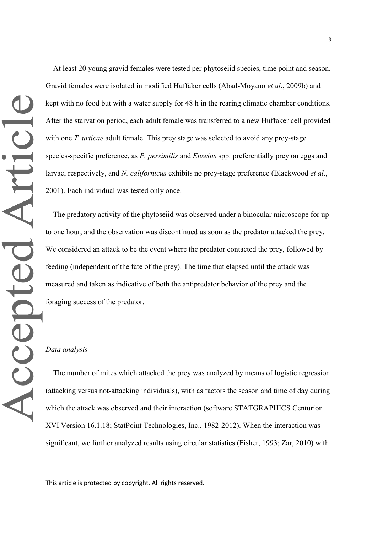At least 20 young gravid females were tested per phytoseiid species, time point and season. Gravid females were isolated in modified Huffaker cells (Abad-Moyano *et al*., 2009b) and kept with no food but with a water supply for 48 h in the rearing climatic chamber conditions. After the starvation period, each adult female was transferred to a new Huffaker cell provided with one *T. urticae* adult female. This prey stage was selected to avoid any prey-stage species-specific preference, as *P. persimilis* and *Euseius* spp. preferentially prey on eggs and larvae, respectively, and *N. californicus* exhibits no prey-stage preference (Blackwood *et al*., 2001). Each individual was tested only once.

The predatory activity of the phytoseiid was observed under a binocular microscope for up to one hour, and the observation was discontinued as soon as the predator attacked the prey. We considered an attack to be the event where the predator contacted the prey, followed by feeding (independent of the fate of the prey). The time that elapsed until the attack was measured and taken as indicative of both the antipredator behavior of the prey and the foraging success of the predator.

## *Data analysis*

The number of mites which attacked the prey was analyzed by means of logistic regression (attacking versus not-attacking individuals), with as factors the season and time of day during which the attack was observed and their interaction (software STATGRAPHICS Centurion XVI Version 16.1.18; StatPoint Technologies, Inc., 1982-2012). When the interaction was significant, we further analyzed results using circular statistics (Fisher, 1993; Zar, 2010) with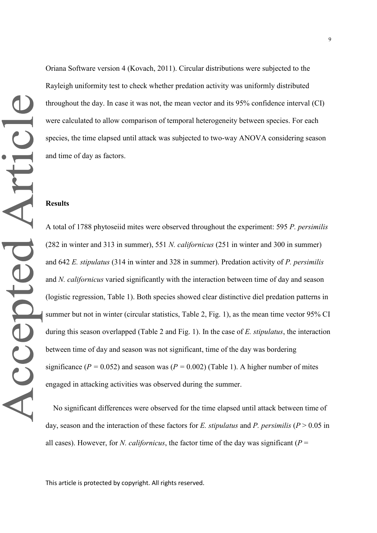Oriana Software version 4 (Kovach, 2011). Circular distributions were subjected to the Rayleigh uniformity test to check whether predation activity was uniformly distributed throughout the day. In case it was not, the mean vector and its 95% confidence interval (CI) were calculated to allow comparison of temporal heterogeneity between species. For each species, the time elapsed until attack was subjected to two-way ANOVA considering season and time of day as factors.

#### **Results**

A total of 1788 phytoseiid mites were observed throughout the experiment: 595 *P. persimilis* (282 in winter and 313 in summer), 551 *N. californicus* (251 in winter and 300 in summer) and 642 *E. stipulatus* (314 in winter and 328 in summer). Predation activity of *P. persimilis* and *N. californicus* varied significantly with the interaction between time of day and season (logistic regression, Table 1). Both species showed clear distinctive diel predation patterns in summer but not in winter (circular statistics, Table 2, Fig. 1), as the mean time vector 95% CI during this season overlapped (Table 2 and Fig. 1). In the case of *E. stipulatus*, the interaction between time of day and season was not significant, time of the day was bordering significance ( $P = 0.052$ ) and season was ( $P = 0.002$ ) (Table 1). A higher number of mites engaged in attacking activities was observed during the summer.

No significant differences were observed for the time elapsed until attack between time of day, season and the interaction of these factors for *E. stipulatus* and *P. persimilis* (*P* > 0.05 in all cases). However, for *N. californicus*, the factor time of the day was significant ( $P =$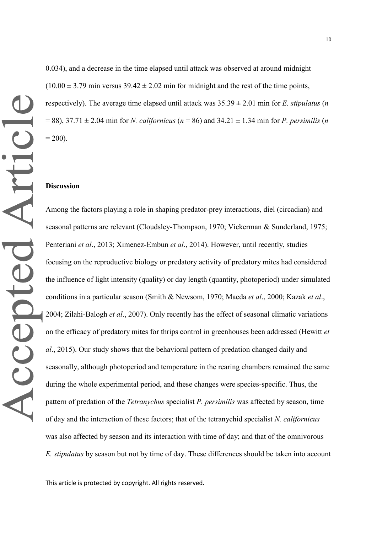0.034), and a decrease in the time elapsed until attack was observed at around midnight  $(10.00 \pm 3.79 \text{ min}$  versus  $39.42 \pm 2.02 \text{ min}$  for midnight and the rest of the time points, respectively). The average time elapsed until attack was 35.39 ± 2.01 min for *E. stipulatus* (*n*  $= 88$ ), 37.71  $\pm$  2.04 min for *N. californicus* ( $n = 86$ ) and 34.21  $\pm$  1.34 min for *P. persimilis* (*n*)  $= 200$ ).

#### **Discussion**

Among the factors playing a role in shaping predator-prey interactions, diel (circadian) and seasonal patterns are relevant (Cloudsley-Thompson, 1970; Vickerman & Sunderland, 1975; Penteriani *et al*., 2013; Ximenez-Embun *et al*., 2014). However, until recently, studies focusing on the reproductive biology or predatory activity of predatory mites had considered the influence of light intensity (quality) or day length (quantity, photoperiod) under simulated conditions in a particular season (Smith & Newsom, 1970; Maeda *et al*., 2000; Kazak *et al*., 2004; Zilahi-Balogh *et al*., 2007). Only recently has the effect of seasonal climatic variations on the efficacy of predatory mites for thrips control in greenhouses been addressed (Hewitt *et al*., 2015). Our study shows that the behavioral pattern of predation changed daily and seasonally, although photoperiod and temperature in the rearing chambers remained the same during the whole experimental period, and these changes were species-specific. Thus, the pattern of predation of the *Tetranychus* specialist *P. persimilis* was affected by season, time of day and the interaction of these factors; that of the tetranychid specialist *N. californicus* was also affected by season and its interaction with time of day; and that of the omnivorous *E. stipulatus* by season but not by time of day. These differences should be taken into account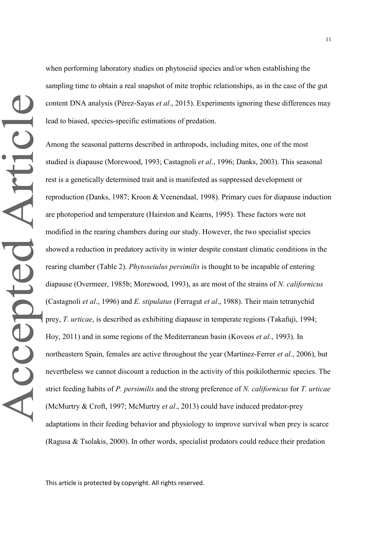when performing laboratory studies on phytoseiid species and/or when establishing the sampling time to obtain a real snapshot of mite trophic relationships, as in the case of the gut content DNA analysis (Pérez-Sayas *et al*., 2015). Experiments ignoring these differences may lead to biased, species-specific estimations of predation.

Among the seasonal patterns described in arthropods, including mites, one of the most studied is diapause (Morewood, 1993; Castagnoli *et al*., 1996; Danks, 2003). This seasonal rest is a genetically determined trait and is manifested as suppressed development or reproduction (Danks, 1987; Kroon & Veenendaal, 1998). Primary cues for diapause induction are photoperiod and temperature (Hairston and Kearns, 1995). These factors were not modified in the rearing chambers during our study. However, the two specialist species showed a reduction in predatory activity in winter despite constant climatic conditions in the rearing chamber (Table 2). *Phytoseiulus persimilis* is thought to be incapable of entering diapause (Overmeer, 1985b; Morewood, 1993), as are most of the strains of *N. californicus* (Castagnoli *et al*., 1996) and *E. stipulatus* (Ferragut *et al*., 1988). Their main tetranychid prey, *T. urticae*, is described as exhibiting diapause in temperate regions (Takafuji, 1994; Hoy, 2011) and in some regions of the Mediterranean basin (Koveos *et al.*, 1993). In northeastern Spain, females are active throughout the year (Martínez-Ferrer *et al*., 2006), but nevertheless we cannot discount a reduction in the activity of this poikilothermic species. The strict feeding habits of *P. persimilis* and the strong preference of *N. californicus* for *T. urticae* (McMurtry & Croft, 1997; McMurtry *et al*., 2013) could have induced predator-prey adaptations in their feeding behavior and physiology to improve survival when prey is scarce (Ragusa & Tsolakis, 2000). In other words, specialist predators could reduce their predation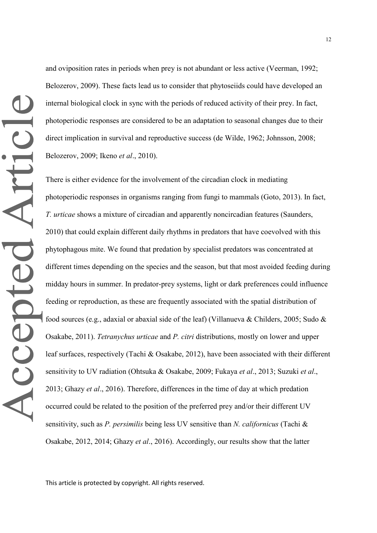and oviposition rates in periods when prey is not abundant or less active (Veerman, 1992; Belozerov, 2009). These facts lead us to consider that phytoseiids could have developed an internal biological clock in sync with the periods of reduced activity of their prey. In fact, photoperiodic responses are considered to be an adaptation to seasonal changes due to their direct implication in survival and reproductive success (de Wilde, 1962; Johnsson, 2008; Belozerov, 2009; Ikeno *et al*., 2010).

There is either evidence for the involvement of the circadian clock in mediating photoperiodic responses in organisms ranging from fungi to mammals (Goto, 2013). In fact, *T. urticae* shows a mixture of circadian and apparently noncircadian features (Saunders, 2010) that could explain different daily rhythms in predators that have coevolved with this phytophagous mite. We found that predation by specialist predators was concentrated at different times depending on the species and the season, but that most avoided feeding during midday hours in summer. In predator-prey systems, light or dark preferences could influence feeding or reproduction, as these are frequently associated with the spatial distribution of food sources (e.g., adaxial or abaxial side of the leaf) (Villanueva & Childers, 2005; Sudo & Osakabe, 2011). *Tetranychus urticae* and *P. citri* distributions, mostly on lower and upper leaf surfaces, respectively (Tachi & Osakabe, 2012), have been associated with their different sensitivity to UV radiation (Ohtsuka & Osakabe, 2009; Fukaya *et al*., 2013; Suzuki *et al*., 2013; Ghazy *et al*., 2016). Therefore, differences in the time of day at which predation occurred could be related to the position of the preferred prey and/or their different UV sensitivity, such as *P. persimilis* being less UV sensitive than *N. californicus* (Tachi & Osakabe, 2012, 2014; Ghazy *et al*., 2016). Accordingly, our results show that the latter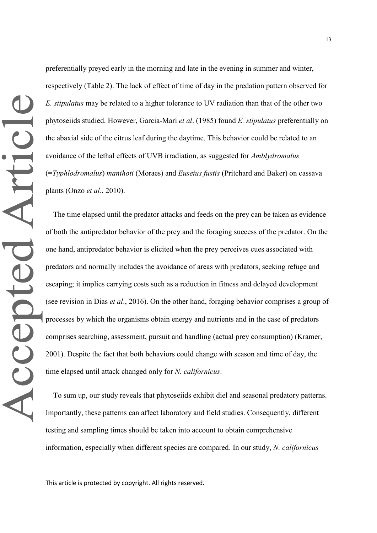preferentially preyed early in the morning and late in the evening in summer and winter, respectively (Table 2). The lack of effect of time of day in the predation pattern observed for *E. stipulatus* may be related to a higher tolerance to UV radiation than that of the other two phytoseiids studied. However, Garcia-Marí *et al*. (1985) found *E. stipulatus* preferentially on the abaxial side of the citrus leaf during the daytime. This behavior could be related to an avoidance of the lethal effects of UVB irradiation, as suggested for *Amblydromalus*  (=*Typhlodromalus*) *manihoti* (Moraes) and *Euseius fustis* (Pritchard and Baker) on cassava plants (Onzo *et al*., 2010).

The time elapsed until the predator attacks and feeds on the prey can be taken as evidence of both the antipredator behavior of the prey and the foraging success of the predator. On the one hand, antipredator behavior is elicited when the prey perceives cues associated with predators and normally includes the avoidance of areas with predators, seeking refuge and escaping; it implies carrying costs such as a reduction in fitness and delayed development (see revision in Dias *et al*., 2016). On the other hand, foraging behavior comprises a group of processes by which the organisms obtain energy and nutrients and in the case of predators comprises searching, assessment, pursuit and handling (actual prey consumption) (Kramer, 2001). Despite the fact that both behaviors could change with season and time of day, the time elapsed until attack changed only for *N. californicus*.

To sum up, our study reveals that phytoseiids exhibit diel and seasonal predatory patterns. Importantly, these patterns can affect laboratory and field studies. Consequently, different testing and sampling times should be taken into account to obtain comprehensive information, especially when different species are compared. In our study, *N. californicus*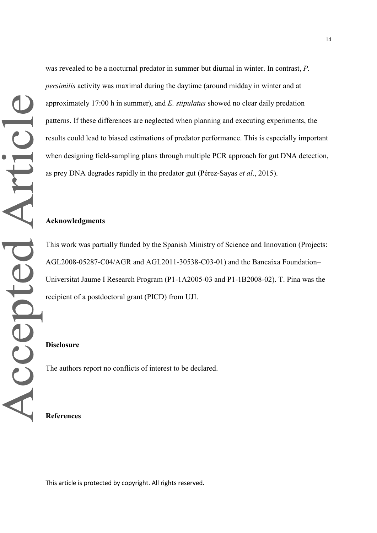was revealed to be a nocturnal predator in summer but diurnal in winter. In contrast, *P. persimilis* activity was maximal during the daytime (around midday in winter and at approximately 17:00 h in summer), and *E. stipulatus* showed no clear daily predation patterns. If these differences are neglected when planning and executing experiments, the results could lead to biased estimations of predator performance. This is especially important when designing field-sampling plans through multiple PCR approach for gut DNA detection, as prey DNA degrades rapidly in the predator gut (Pérez-Sayas *et al*., 2015).

#### **Acknowledgments**

This work was partially funded by the Spanish Ministry of Science and Innovation (Projects: AGL2008-05287-C04/AGR and AGL2011-30538-C03-01) and the Bancaixa Foundation– Universitat Jaume I Research Program (P1-1A2005-03 and P1-1B2008-02). T. Pina was the recipient of a postdoctoral grant (PICD) from UJI.

# **Disclosure**

The authors report no conflicts of interest to be declared.

## **References**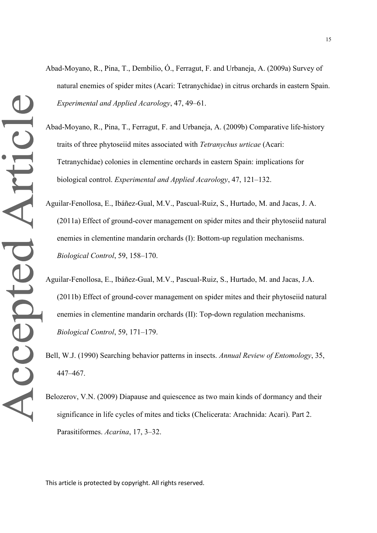- Abad-Moyano, R., Pina, T., Dembilio, Ó., Ferragut, F. and Urbaneja, A. (2009a) Survey of natural enemies of spider mites (Acari: Tetranychidae) in citrus orchards in eastern Spain. *Experimental and Applied Acarology*, 47, 49–61.
- Abad-Moyano, R., Pina, T., Ferragut, F. and Urbaneja, A. (2009b) Comparative life-history traits of three phytoseiid mites associated with *Tetranychus urticae* (Acari: Tetranychidae) colonies in clementine orchards in eastern Spain: implications for biological control. *Experimental and Applied Acarology*, 47, 121–132.
- Aguilar-Fenollosa, E., Ibáñez-Gual, M.V., Pascual-Ruiz, S., Hurtado, M. and Jacas, J. A. (2011a) Effect of ground-cover management on spider mites and their phytoseiid natural enemies in clementine mandarin orchards (I): Bottom-up regulation mechanisms. *Biological Control*, 59, 158–170.
- Aguilar-Fenollosa, E., Ibáñez-Gual, M.V., Pascual-Ruiz, S., Hurtado, M. and Jacas, J.A. (2011b) Effect of ground-cover management on spider mites and their phytoseiid natural enemies in clementine mandarin orchards (II): Top-down regulation mechanisms. *Biological Control*, 59, 171–179.
- Bell, W.J. (1990) Searching behavior patterns in insects. *Annual Review of Entomology*, 35, 447–467.
- Belozerov, V.N. (2009) Diapause and quiescence as two main kinds of dormancy and their significance in life cycles of mites and ticks (Chelicerata: Arachnida: Acari). Part 2. Parasitiformes. *Acarina*, 17, 3–32.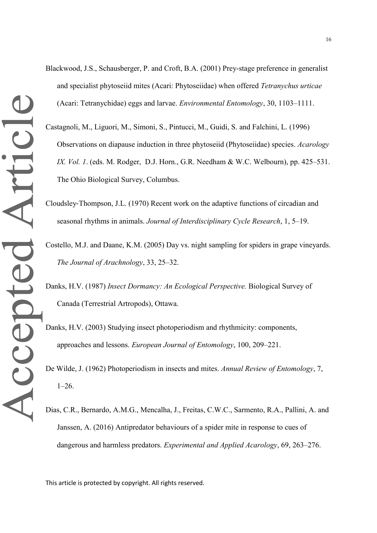- Blackwood, J.S., Schausberger, P. and Croft, B.A. (2001) Prey-stage preference in generalist and specialist phytoseiid mites (Acari: Phytoseiidae) when offered *Tetranychus urticae* (Acari: Tetranychidae) eggs and larvae. *Environmental Entomology*, 30, 1103–1111.
- Castagnoli, M., Liguori, M., Simoni, S., Pintucci, M., Guidi, S. and Falchini, L. (1996) Observations on diapause induction in three phytoseiid (Phytoseiidae) species. *Acarology IX. Vol. 1*. (eds. M. Rodger, D.J. Horn., G.R. Needham & W.C. Welbourn), pp. 425–531. The Ohio Biological Survey, Columbus.
- Cloudsley‐Thompson, J.L. (1970) Recent work on the adaptive functions of circadian and seasonal rhythms in animals. *Journal of Interdisciplinary Cycle Research*, 1, 5–19.
- Costello, M.J. and Daane, K.M. (2005) Day vs. night sampling for spiders in grape vineyards. *The Journal of Arachnology*, 33, 25–32.
- Danks, H.V. (1987) *Insect Dormancy: An Ecological Perspective.* Biological Survey of Canada (Terrestrial Artropods), Ottawa.
- Danks, H.V. (2003) Studying insect photoperiodism and rhythmicity: components, approaches and lessons. *European Journal of Entomology*, 100, 209–221.
- De Wilde, J. (1962) Photoperiodism in insects and mites. *Annual Review of Entomology*, 7, 1–26.
- Dias, C.R., Bernardo, A.M.G., Mencalha, J., Freitas, C.W.C., Sarmento, R.A., Pallini, A. and Janssen, A. (2016) Antipredator behaviours of a spider mite in response to cues of dangerous and harmless predators. *Experimental and Applied Acarology*, 69, 263–276.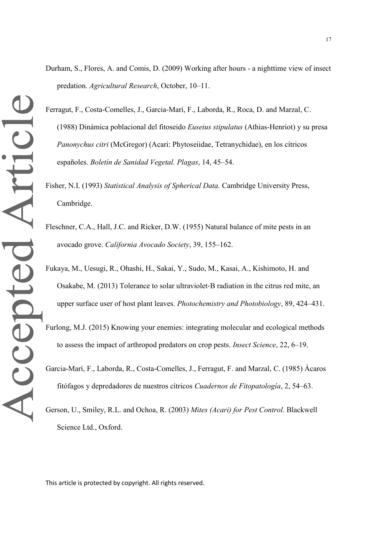- Ferragut, F., Costa-Comelles, J., Garcia-Marí, F., Laborda, R., Roca, D. and Marzal, C. (1988) Dinámica poblacional del fitoseido *Euseius stipulatus* (Athias-Henriot) y su presa *Panonychus citri* (McGregor) (Acari: Phytoseiidae, Tetranychidae), en los cítricos españoles. *Boletín de Sanidad Vegetal. Plagas*, 14, 45–54.
- Fisher, N.I. (1993) *Statistical Analysis of Spherical Data.* Cambridge University Press, Cambridge.
- Fleschner, C.A., Hall, J.C. and Ricker, D.W. (1955) Natural balance of mite pests in an avocado grove. *California Avocado Society*, 39, 155–162.
- Fukaya, M., Uesugi, R., Ohashi, H., Sakai, Y., Sudo, M., Kasai, A., Kishimoto, H. and Osakabe, M. (2013) Tolerance to solar ultraviolet‐B radiation in the citrus red mite, an upper surface user of host plant leaves. *Photochemistry and Photobiology*, 89, 424–431.
- Furlong, M.J. (2015) Knowing your enemies: integrating molecular and ecological methods to assess the impact of arthropod predators on crop pests. *Insect Science*, 22, 6–19.
- Garcia-Marí, F., Laborda, R., Costa-Comelles, J., Ferragut, F. and Marzal, C. (1985) Ácaros fitófagos y depredadores de nuestros cítricos *Cuadernos de Fitopatología*, 2, 54–63.
- Gerson, U., Smiley, R.L. and Ochoa, R. (2003) *Mites (Acari) for Pest Control*. Blackwell Science Ltd., Oxford.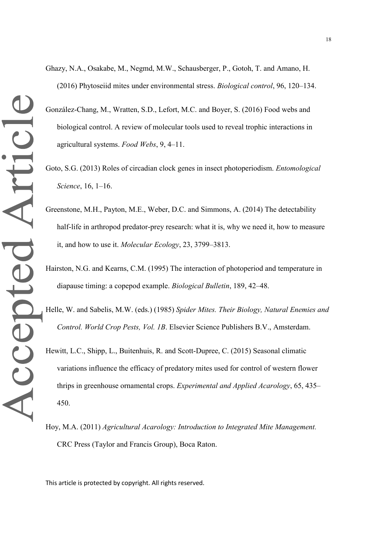- González-Chang, M., Wratten, S.D., Lefort, M.C. and Boyer, S. (2016) Food webs and biological control. A review of molecular tools used to reveal trophic interactions in agricultural systems. *Food Webs*, 9, 4–11.
- Goto, S.G. (2013) Roles of circadian clock genes in insect photoperiodism. *Entomological Science*, 16, 1–16.
- Greenstone, M.H., Payton, M.E., Weber, D.C. and Simmons, A. (2014) The detectability half-life in arthropod predator-prey research: what it is, why we need it, how to measure it, and how to use it. *Molecular Ecology*, 23, 3799–3813.
- Hairston, N.G. and Kearns, C.M. (1995) The interaction of photoperiod and temperature in diapause timing: a copepod example. *Biological Bulletin*, 189, 42–48.
- Helle, W. and Sabelis, M.W. (eds.) (1985) *Spider Mites. Their Biology, Natural Enemies and Control. World Crop Pests, Vol. 1B*. Elsevier Science Publishers B.V., Amsterdam.
- Hewitt, L.C., Shipp, L., Buitenhuis, R. and Scott-Dupree, C. (2015) Seasonal climatic variations influence the efficacy of predatory mites used for control of western flower thrips in greenhouse ornamental crops. *Experimental and Applied Acarology*, 65, 435– 450.
- Hoy, M.A. (2011) *Agricultural Acarology: Introduction to Integrated Mite Management.*  CRC Press (Taylor and Francis Group), Boca Raton.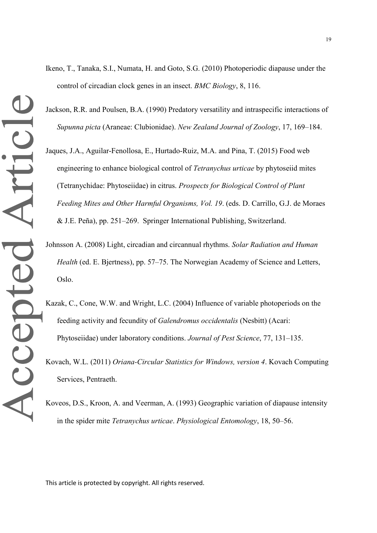- Ikeno, T., Tanaka, S.I., Numata, H. and Goto, S.G. (2010) Photoperiodic diapause under the control of circadian clock genes in an insect. *BMC Biology*, 8, 116.
- Jackson, R.R. and Poulsen, B.A. (1990) Predatory versatility and intraspecific interactions of *Supunna picta* (Araneae: Clubionidae). *New Zealand Journal of Zoology*, 17, 169–184.
- Jaques, J.A., Aguilar-Fenollosa, E., Hurtado-Ruiz, M.A. and Pina, T. (2015) Food web engineering to enhance biological control of *Tetranychus urticae* by phytoseiid mites (Tetranychidae: Phytoseiidae) in citrus. *Prospects for Biological Control of Plant Feeding Mites and Other Harmful Organisms, Vol. 19*. (eds. D. Carrillo, G.J. de Moraes & J.E. Peña), pp. 251–269. Springer International Publishing, Switzerland.
- Johnsson A. (2008) Light, circadian and circannual rhythms. *Solar Radiation and Human Health* (ed. E. Bjertness), pp. 57–75. The Norwegian Academy of Science and Letters, Oslo.
- Kazak, C., Cone, W.W. and Wright, L.C. (2004) Influence of variable photoperiods on the feeding activity and fecundity of *Galendromus occidentalis* (Nesbitt) (Acari: Phytoseiidae) under laboratory conditions. *Journal of Pest Science*, 77, 131–135.
- Kovach, W.L. (2011) *Oriana-Circular Statistics for Windows, version 4*. Kovach Computing Services, Pentraeth.
- Koveos, D.S., Kroon, A. and Veerman, A. (1993) Geographic variation of diapause intensity in the spider mite *Tetranychus urticae*. *Physiological Entomology*, 18, 50–56.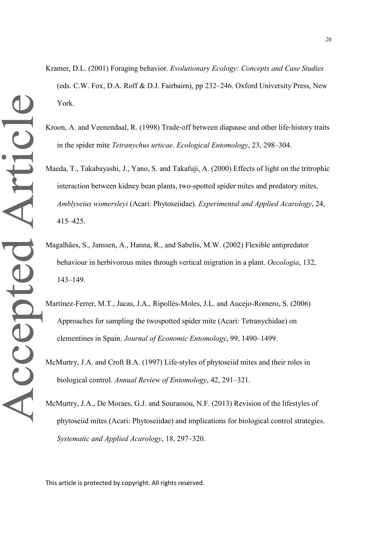- Kramer, D.L. (2001) Foraging behavior. *Evolutionary Ecology: Concepts and Case Studies* (eds. C.W. Fox, D.A. Roff & D.J. Fairbairn), pp 232–246. Oxford University Press, New York.
- Kroon, A. and Veenendaal, R. (1998) Trade-off between diapause and other life-history traits in the spider mite *Tetranychus urticae*. *Ecological Entomology*, 23, 298–304.
- Maeda, T., Takabayashi, J., Yano, S. and Takafuji, A. (2000) Effects of light on the tritrophic interaction between kidney bean plants, two-spotted spider mites and predatory mites, *Amblyseius womersleyi* (Acari: Phytoseiidae). *Experimental and Applied Acarology*, 24, 415–425.
- Magalhães, S., Janssen, A., Hanna, R., and Sabelis, M.W. (2002) Flexible antipredator behaviour in herbivorous mites through vertical migration in a plant. *Oecologia*, 132, 143–149.
- Martínez-Ferrer, M.T., Jacas, J.A., Ripollés-Moles, J.L. and Aucejo-Romero, S. (2006) Approaches for sampling the twospotted spider mite (Acari: Tetranychidae) on clementines in Spain. *Journal of Economic Entomology*, 99, 1490–1499.
- McMurtry, J.A. and Croft B.A. (1997) Life-styles of phytoseiid mites and their roles in biological control. *Annual Review of Entomology*, 42, 291–321.
- McMurtry, J.A., De Moraes, G.J. and Sourassou, N.F. (2013) Revision of the lifestyles of phytoseiid mites (Acari: Phytoseiidae) and implications for biological control strategies. *Systematic and Applied Acarology*, 18, 297–320.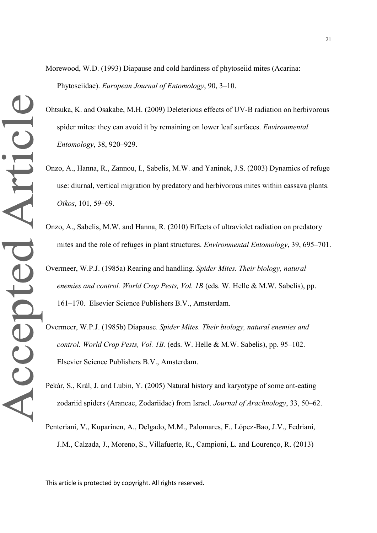Morewood, W.D. (1993) Diapause and cold hardiness of phytoseiid mites (Acarina: Phytoseiidae). *European Journal of Entomology*, 90, 3–10.

- Ohtsuka, K. and Osakabe, M.H. (2009) Deleterious effects of UV-B radiation on herbivorous spider mites: they can avoid it by remaining on lower leaf surfaces. *Environmental Entomology*, 38, 920–929.
- Onzo, A., Hanna, R., Zannou, I., Sabelis, M.W. and Yaninek, J.S. (2003) Dynamics of refuge use: diurnal, vertical migration by predatory and herbivorous mites within cassava plants. *Oikos*, 101, 59–69.
- Onzo, A., Sabelis, M.W. and Hanna, R. (2010) Effects of ultraviolet radiation on predatory mites and the role of refuges in plant structures. *Environmental Entomology*, 39, 695–701.
- Overmeer, W.P.J. (1985a) Rearing and handling. *Spider Mites. Their biology, natural enemies and control. World Crop Pests, Vol. 1B* (eds. W. Helle & M.W. Sabelis), pp. 161–170. Elsevier Science Publishers B.V., Amsterdam.
- Overmeer, W.P.J. (1985b) Diapause. *Spider Mites. Their biology, natural enemies and control. World Crop Pests, Vol. 1B*. (eds. W. Helle & M.W. Sabelis), pp. 95–102. Elsevier Science Publishers B.V., Amsterdam.
- Pekár, S., Král, J. and Lubin, Y. (2005) Natural history and karyotype of some ant-eating zodariid spiders (Araneae, Zodariidae) from Israel. *Journal of Arachnology*, 33, 50–62.
- Penteriani, V., Kuparinen, A., Delgado, M.M., Palomares, F., López-Bao, J.V., Fedriani, J.M., Calzada, J., Moreno, S., Villafuerte, R., Campioni, L. and Lourenço, R. (2013)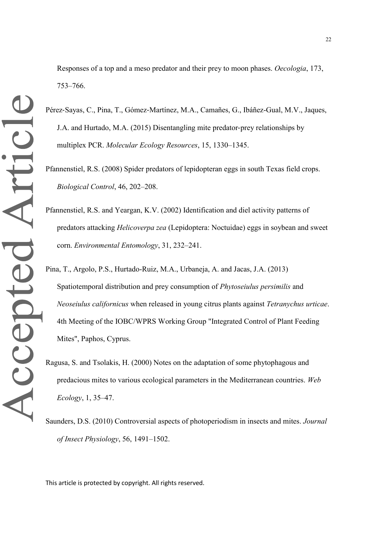- Pérez‐Sayas, C., Pina, T., Gómez‐Martínez, M.A., Camañes, G., Ibáñez-Gual, M.V., Jaques, J.A. and Hurtado, M.A. (2015) Disentangling mite predator‐prey relationships by multiplex PCR. *Molecular Ecology Resources*, 15, 1330–1345.
- Pfannenstiel, R.S. (2008) Spider predators of lepidopteran eggs in south Texas field crops. *Biological Control*, 46, 202–208.
- Pfannenstiel, R.S. and Yeargan, K.V. (2002) Identification and diel activity patterns of predators attacking *Helicoverpa zea* (Lepidoptera: Noctuidae) eggs in soybean and sweet corn. *Environmental Entomology*, 31, 232–241.
- Pina, T., Argolo, P.S., Hurtado-Ruiz, M.A., Urbaneja, A. and Jacas, J.A. (2013) Spatiotemporal distribution and prey consumption of *Phytoseiulus persimilis* and *Neoseiulus californicus* when released in young citrus plants against *Tetranychus urticae*. 4th Meeting of the IOBC/WPRS Working Group "Integrated Control of Plant Feeding Mites", Paphos, Cyprus.
- Ragusa, S. and Tsolakis, H. (2000) Notes on the adaptation of some phytophagous and predacious mites to various ecological parameters in the Mediterranean countries. *Web Ecology*, 1, 35–47.
- Saunders, D.S. (2010) Controversial aspects of photoperiodism in insects and mites. *Journal of Insect Physiology*, 56, 1491–1502.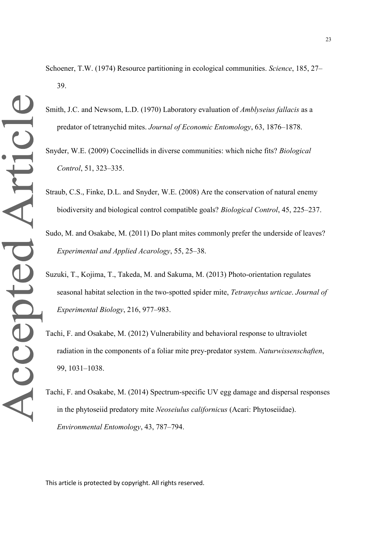- Schoener, T.W. (1974) Resource partitioning in ecological communities. *Science*, 185, 27– 39.
- Smith, J.C. and Newsom, L.D. (1970) Laboratory evaluation of *Amblyseius fallacis* as a predator of tetranychid mites. *Journal of Economic Entomology*, 63, 1876–1878.
- Snyder, W.E. (2009) Coccinellids in diverse communities: which niche fits? *Biological Control*, 51, 323–335.
- Straub, C.S., Finke, D.L. and Snyder, W.E. (2008) Are the conservation of natural enemy biodiversity and biological control compatible goals? *Biological Control*, 45, 225–237.
- Sudo, M. and Osakabe, M. (2011) Do plant mites commonly prefer the underside of leaves? *Experimental and Applied Acarology*, 55, 25–38.
- Suzuki, T., Kojima, T., Takeda, M. and Sakuma, M. (2013) Photo-orientation regulates seasonal habitat selection in the two-spotted spider mite, *Tetranychus urticae*. *Journal of Experimental Biology*, 216, 977–983.
- Tachi, F. and Osakabe, M. (2012) Vulnerability and behavioral response to ultraviolet radiation in the components of a foliar mite prey-predator system. *Naturwissenschaften*, 99, 1031–1038.
- Tachi, F. and Osakabe, M. (2014) Spectrum-specific UV egg damage and dispersal responses in the phytoseiid predatory mite *Neoseiulus californicus* (Acari: Phytoseiidae). *Environmental Entomology*, 43, 787–794.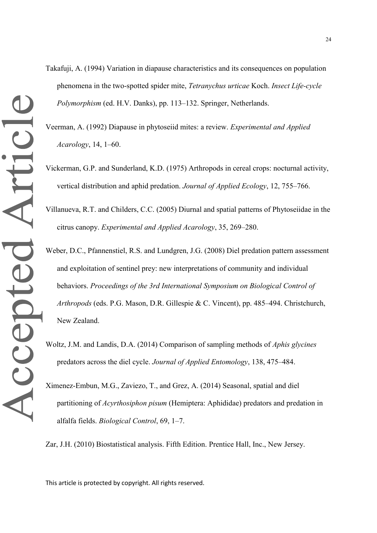- Takafuji, A. (1994) Variation in diapause characteristics and its consequences on population phenomena in the two-spotted spider mite, *Tetranychus urticae* Koch. *Insect Life-cycle Polymorphism* (ed. H.V. Danks), pp. 113–132. Springer, Netherlands.
- Veerman, A. (1992) Diapause in phytoseiid mites: a review. *Experimental and Applied Acarology*, 14, 1–60.
- Vickerman, G.P. and Sunderland, K.D. (1975) Arthropods in cereal crops: nocturnal activity, vertical distribution and aphid predation. *Journal of Applied Ecology*, 12, 755–766.
- Villanueva, R.T. and Childers, C.C. (2005) Diurnal and spatial patterns of Phytoseiidae in the citrus canopy. *Experimental and Applied Acarology*, 35, 269–280.
- Weber, D.C., Pfannenstiel, R.S. and Lundgren, J.G. (2008) Diel predation pattern assessment and exploitation of sentinel prey: new interpretations of community and individual behaviors. *Proceedings of the 3rd International Symposium on Biological Control of Arthropods* (eds. P.G. Mason, D.R. Gillespie & C. Vincent), pp. 485–494. Christchurch, New Zealand.
- Woltz, J.M. and Landis, D.A. (2014) Comparison of sampling methods of *Aphis glycines* predators across the diel cycle. *Journal of Applied Entomology*, 138, 475–484.
- Ximenez-Embun, M.G., Zaviezo, T., and Grez, A. (2014) Seasonal, spatial and diel partitioning of *Acyrthosiphon pisum* (Hemiptera: Aphididae) predators and predation in alfalfa fields. *Biological Control*, 69, 1–7.

Zar, J.H. (2010) Biostatistical analysis. Fifth Edition. Prentice Hall, Inc., New Jersey.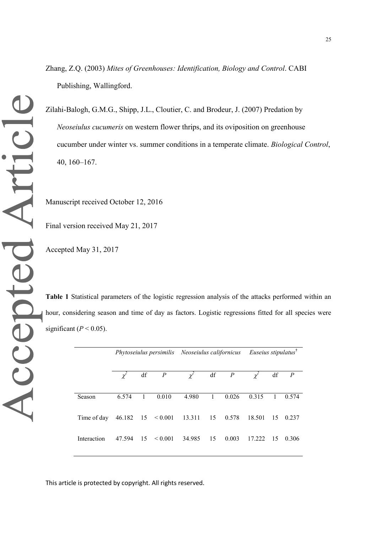Zhang, Z.Q. (2003) *Mites of Greenhouses: Identification, Biology and Control*. CABI Publishing, Wallingford.

Zilahi-Balogh, G.M.G., Shipp, J.L., Cloutier, C. and Brodeur, J. (2007) Predation by *Neoseiulus cucumeris* on western flower thrips, and its oviposition on greenhouse cucumber under winter vs. summer conditions in a temperate climate. *Biological Control*, 40, 160–167.

Manuscript received October 12, 2016

Final version received May 21, 2017

Accepted May 31, 2017

**Table 1** Statistical parameters of the logistic regression analysis of the attacks performed within an hour, considering season and time of day as factors. Logistic regressions fitted for all species were significant ( $P < 0.05$ ).

|             |        |    |                | Phytoseiulus persimilis Neoseiulus californicus |              |           | Euseius stipulatus <sup>†</sup> |                |           |
|-------------|--------|----|----------------|-------------------------------------------------|--------------|-----------|---------------------------------|----------------|-----------|
|             | Ý      | df | $\overline{P}$ | $\chi^2$                                        |              | $df \t P$ | $\mathscr{V}$                   |                | $df \t P$ |
| Season      | 6.574  | 1  | 0.010          | 4.980                                           | $\mathbf{1}$ | 0.026     | 0.315                           | $\overline{1}$ | 0.574     |
| Time of day |        |    |                | 46.182 15 < 0.001 13.311 15 0.578               |              |           | 18.501                          |                | 15 0.237  |
| Interaction | 47.594 |    | $15 \le 0.001$ | 34.985                                          | 15           | 0.003     | 17.222                          | -15            | 0.306     |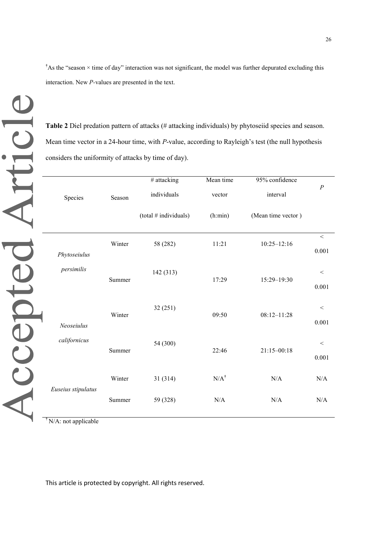<sup>†</sup>As the "season  $\times$  time of day" interaction was not significant, the model was further depurated excluding this interaction. New *P-*values are presented in the text.

**Table 2** Diel predation pattern of attacks (# attacking individuals) by phytoseiid species and season. Mean time vector in a 24-hour time, with *P*-value, according to Rayleigh's test (the null hypothesis considers the uniformity of attacks by time of day).

|                    |        | # attacking           | Mean time       | 95% confidence     | $\boldsymbol{P}$ |
|--------------------|--------|-----------------------|-----------------|--------------------|------------------|
| Species            | Season | individuals           | vector          | interval           |                  |
|                    |        | (total # individuals) | (h:min)         | (Mean time vector) |                  |
|                    | Winter | 58 (282)              | 11:21           | $10:25 - 12:16$    | $\,<$            |
| Phytoseiulus       |        |                       |                 |                    | 0.001            |
| persimilis         | Summer | 142 (313)             |                 |                    | $\,<$            |
|                    |        |                       | 17:29           | 15:29-19:30        | 0.001            |
|                    |        |                       |                 |                    |                  |
|                    | Winter | 32(251)               | 09:50           | $08:12 - 11:28$    | $<\,$            |
| Neoseiulus         |        |                       |                 |                    | 0.001            |
| californicus       |        | 54 (300)              |                 |                    | $\,<$            |
|                    | Summer |                       | 22:46           | $21:15 - 00:18$    | 0.001            |
|                    |        |                       |                 |                    |                  |
|                    | Winter | 31 (314)              | $N/A^{\dagger}$ | N/A                | N/A              |
| Euseius stipulatus | Summer | 59 (328)              | N/A             | N/A                | N/A              |
|                    |        |                       |                 |                    |                  |

**†** N/A: not applicable

Accepted Article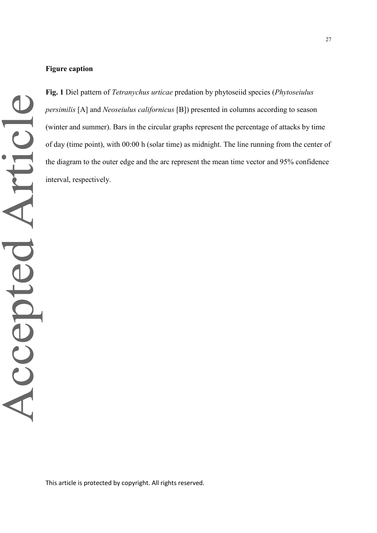**Fig. 1** Diel pattern of *Tetranychus urticae* predation by phytoseiid species (*Phytoseiulus persimilis* [A] and *Neoseiulus californicus* [B]) presented in columns according to season (winter and summer). Bars in the circular graphs represent the percentage of attacks by time of day (time point), with 00:00 h (solar time) as midnight. The line running from the center of the diagram to the outer edge and the arc represent the mean time vector and 95% confidence interval, respectively.